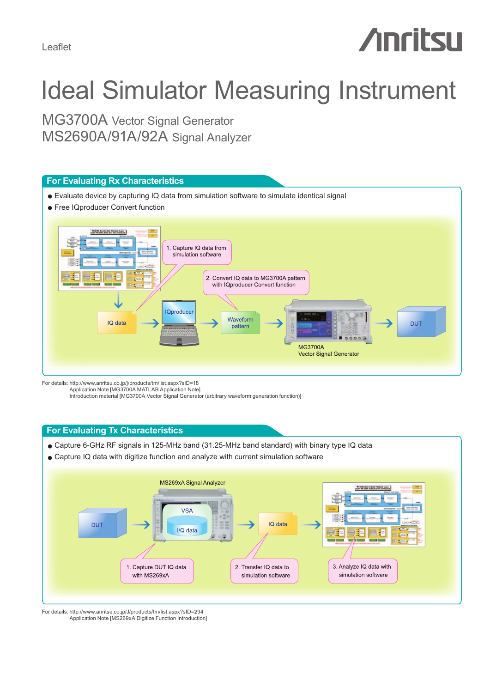Leaflet

# **Anritsu**

## Ideal Simulator Measuring Instrument

MG3700A Vector Signal Generator MS2690A/91A/92A Signal Analyzer



For details: http://www.anritsu.co.jp/j/products/tm/list.aspx?sID=18 Application Note [MG3700A MATLAB Application Note]

Introduction material [MG3700A Vector Signal Generator (arbitrary waveform generation function)]

#### **For Evaluating Tx Characteristics**

- Capture 6-GHz RF signals in 125-MHz band (31.25-MHz band standard) with binary type IQ data
- Capture IQ data with digitize function and analyze with current simulation software



For details: http://www.anritsu.co.jp/J/products/tm/list.aspx?sID=294 Application Note [MS269xA Digitize Function Introduction]